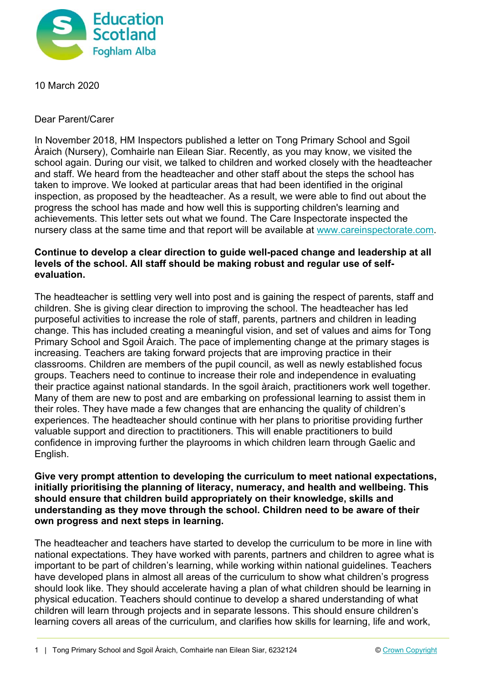

10 March 2020

Dear Parent/Carer

In November 2018, HM Inspectors published a letter on Tong Primary School and Sgoil Àraich (Nursery), Comhairle nan Eilean Siar. Recently, as you may know, we visited the school again. During our visit, we talked to children and worked closely with the headteacher and staff. We heard from the headteacher and other staff about the steps the school has taken to improve. We looked at particular areas that had been identified in the original inspection, as proposed by the headteacher. As a result, we were able to find out about the progress the school has made and how well this is supporting children's learning and achievements. This letter sets out what we found. The Care Inspectorate inspected the nursery class at the same time and that report will be available at www.careinspectorate.com.

## **Continue to develop a clear direction to guide well-paced change and leadership at all levels of the school. All staff should be making robust and regular use of selfevaluation.**

The headteacher is settling very well into post and is gaining the respect of parents, staff and children. She is giving clear direction to improving the school. The headteacher has led purposeful activities to increase the role of staff, parents, partners and children in leading change. This has included creating a meaningful vision, and set of values and aims for Tong Primary School and Sgoil Àraich. The pace of implementing change at the primary stages is increasing. Teachers are taking forward projects that are improving practice in their classrooms. Children are members of the pupil council, as well as newly established focus groups. Teachers need to continue to increase their role and independence in evaluating their practice against national standards. In the sgoil àraich, practitioners work well together. Many of them are new to post and are embarking on professional learning to assist them in their roles. They have made a few changes that are enhancing the quality of children's experiences. The headteacher should continue with her plans to prioritise providing further valuable support and direction to practitioners. This will enable practitioners to build confidence in improving further the playrooms in which children learn through Gaelic and English.

#### **Give very prompt attention to developing the curriculum to meet national expectations, initially prioritising the planning of literacy, numeracy, and health and wellbeing. This should ensure that children build appropriately on their knowledge, skills and understanding as they move through the school. Children need to be aware of their own progress and next steps in learning.**

The headteacher and teachers have started to develop the curriculum to be more in line with national expectations. They have worked with parents, partners and children to agree what is important to be part of children's learning, while working within national guidelines. Teachers have developed plans in almost all areas of the curriculum to show what children's progress should look like. They should accelerate having a plan of what children should be learning in physical education. Teachers should continue to develop a shared understanding of what children will learn through projects and in separate lessons. This should ensure children's learning covers all areas of the curriculum, and clarifies how skills for learning, life and work,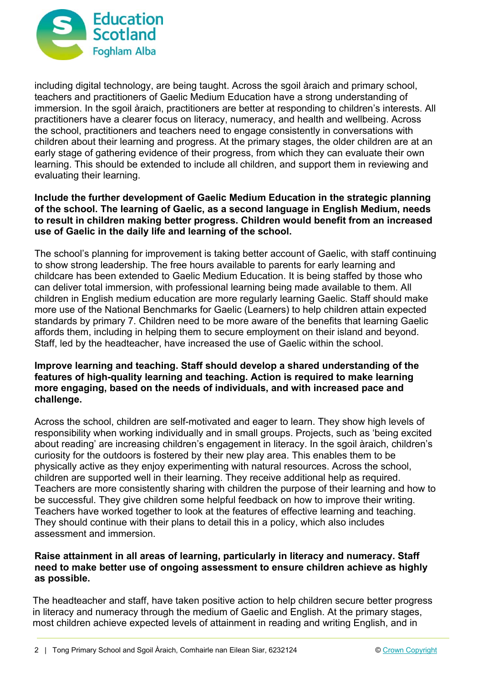

including digital technology, are being taught. Across the sgoil àraich and primary school, teachers and practitioners of Gaelic Medium Education have a strong understanding of immersion. In the sgoil àraich, practitioners are better at responding to children's interests. All practitioners have a clearer focus on literacy, numeracy, and health and wellbeing. Across the school, practitioners and teachers need to engage consistently in conversations with children about their learning and progress. At the primary stages, the older children are at an early stage of gathering evidence of their progress, from which they can evaluate their own learning. This should be extended to include all children, and support them in reviewing and evaluating their learning.

## **Include the further development of Gaelic Medium Education in the strategic planning of the school. The learning of Gaelic, as a second language in English Medium, needs to result in children making better progress. Children would benefit from an increased use of Gaelic in the daily life and learning of the school.**

The school's planning for improvement is taking better account of Gaelic, with staff continuing to show strong leadership. The free hours available to parents for early learning and childcare has been extended to Gaelic Medium Education. It is being staffed by those who can deliver total immersion, with professional learning being made available to them. All children in English medium education are more regularly learning Gaelic. Staff should make more use of the National Benchmarks for Gaelic (Learners) to help children attain expected standards by primary 7. Children need to be more aware of the benefits that learning Gaelic affords them, including in helping them to secure employment on their island and beyond. Staff, led by the headteacher, have increased the use of Gaelic within the school.

## **Improve learning and teaching. Staff should develop a shared understanding of the features of high-quality learning and teaching. Action is required to make learning more engaging, based on the needs of individuals, and with increased pace and challenge.**

Across the school, children are self-motivated and eager to learn. They show high levels of responsibility when working individually and in small groups. Projects, such as 'being excited about reading' are increasing children's engagement in literacy. In the sgoil àraich, children's curiosity for the outdoors is fostered by their new play area. This enables them to be physically active as they enjoy experimenting with natural resources. Across the school, children are supported well in their learning. They receive additional help as required. Teachers are more consistently sharing with children the purpose of their learning and how to be successful. They give children some helpful feedback on how to improve their writing. Teachers have worked together to look at the features of effective learning and teaching. They should continue with their plans to detail this in a policy, which also includes assessment and immersion.

## **Raise attainment in all areas of learning, particularly in literacy and numeracy. Staff need to make better use of ongoing assessment to ensure children achieve as highly as possible.**

The headteacher and staff, have taken positive action to help children secure better progress in literacy and numeracy through the medium of Gaelic and English. At the primary stages, most children achieve expected levels of attainment in reading and writing English, and in